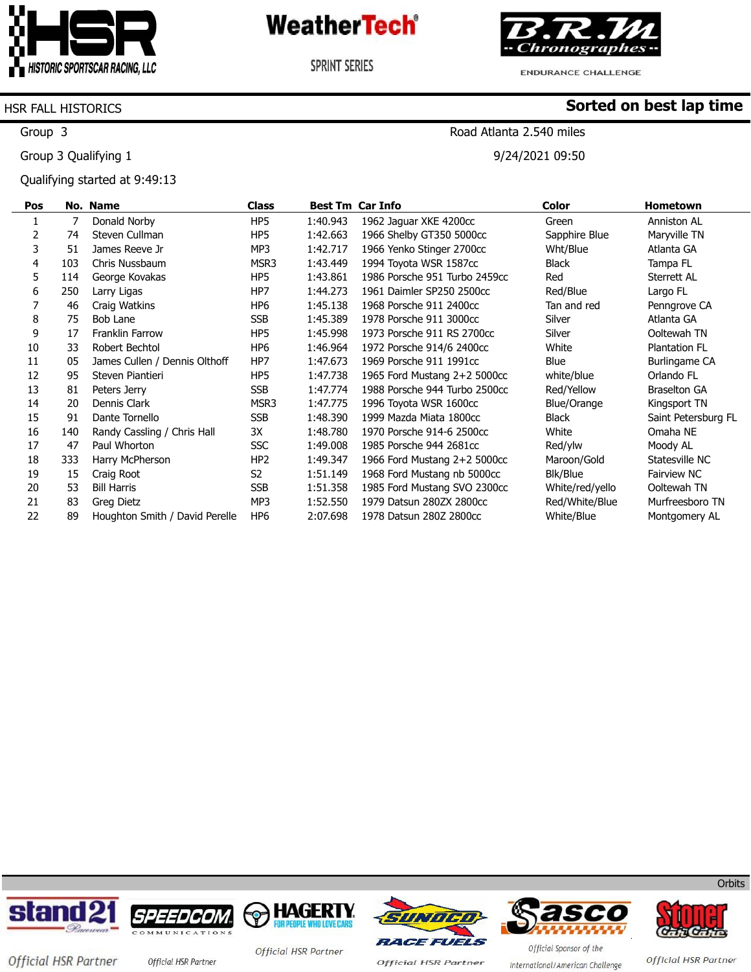

**SPRINT SERIES** 



ENDURANCE CHALLENGE

Road Atlanta 2.540 miles

9/24/2021 09:50

**Sorted on best lap time**

#### HSR FALL HISTORICS

Group 3

Group 3 Qualifying 1

Qualifying started at 9:49:13

| Pos |     | No. Name                       | <b>Class</b>    |          | <b>Best Tm Car Info</b>       | <b>Color</b>    | <b>Hometown</b>      |
|-----|-----|--------------------------------|-----------------|----------|-------------------------------|-----------------|----------------------|
|     | 7   | Donald Norby                   | HP5             | 1:40.943 | 1962 Jaquar XKE 4200cc        | Green           | Anniston AL          |
| 2   | 74  | Steven Cullman                 | HP5             | 1:42.663 | 1966 Shelby GT350 5000cc      | Sapphire Blue   | Maryville TN         |
| 3   | 51  | James Reeve Jr                 | MP3             | 1:42.717 | 1966 Yenko Stinger 2700cc     | Wht/Blue        | Atlanta GA           |
| 4   | 103 | Chris Nussbaum                 | MSR3            | 1:43.449 | 1994 Toyota WSR 1587cc        | Black           | Tampa FL             |
| 5   | 114 | George Kovakas                 | HP5             | 1:43.861 | 1986 Porsche 951 Turbo 2459cc | Red             | Sterrett AL          |
| 6   | 250 | Larry Ligas                    | HP7             | 1:44.273 | 1961 Daimler SP250 2500cc     | Red/Blue        | Largo FL             |
|     | 46  | Craig Watkins                  | HP <sub>6</sub> | 1:45.138 | 1968 Porsche 911 2400cc       | Tan and red     | Penngrove CA         |
| 8   | 75  | Bob Lane                       | SSB             | 1:45.389 | 1978 Porsche 911 3000cc       | Silver          | Atlanta GA           |
| 9   | 17  | <b>Franklin Farrow</b>         | HP5             | 1:45.998 | 1973 Porsche 911 RS 2700cc    | Silver          | Ooltewah TN          |
| 10  | 33  | Robert Bechtol                 | HP <sub>6</sub> | 1:46.964 | 1972 Porsche 914/6 2400cc     | White           | <b>Plantation FL</b> |
| 11  | 05  | James Cullen / Dennis Olthoff  | HP7             | 1:47.673 | 1969 Porsche 911 1991cc       | Blue            | <b>Burlingame CA</b> |
| 12  | 95  | Steven Piantieri               | HP5             | 1:47.738 | 1965 Ford Mustang 2+2 5000cc  | white/blue      | Orlando FL           |
| 13  | 81  | Peters Jerry                   | <b>SSB</b>      | 1:47.774 | 1988 Porsche 944 Turbo 2500cc | Red/Yellow      | <b>Braselton GA</b>  |
| 14  | 20  | Dennis Clark                   | MSR3            | 1:47.775 | 1996 Toyota WSR 1600cc        | Blue/Orange     | Kingsport TN         |
| 15  | 91  | Dante Tornello                 | <b>SSB</b>      | 1:48.390 | 1999 Mazda Miata 1800cc       | <b>Black</b>    | Saint Petersburg FL  |
| 16  | 140 | Randy Cassling / Chris Hall    | ЗΧ              | 1:48.780 | 1970 Porsche 914-6 2500cc     | White           | Omaha NE             |
| 17  | 47  | Paul Whorton                   | <b>SSC</b>      | 1:49.008 | 1985 Porsche 944 2681cc       | Red/ylw         | Moody AL             |
| 18  | 333 | Harry McPherson                | HP <sub>2</sub> | 1:49.347 | 1966 Ford Mustang 2+2 5000cc  | Maroon/Gold     | Statesville NC       |
| 19  | 15  | Craig Root                     | S2              | 1:51.149 | 1968 Ford Mustang nb 5000cc   | Blk/Blue        | <b>Fairview NC</b>   |
| 20  | 53  | <b>Bill Harris</b>             | SSB             | 1:51.358 | 1985 Ford Mustang SVO 2300cc  | White/red/yello | Ooltewah TN          |
| 21  | 83  | Greg Dietz                     | MP3             | 1:52.550 | 1979 Datsun 280ZX 2800cc      | Red/White/Blue  | Murfreesboro TN      |
| 22  | 89  | Houghton Smith / David Perelle | HP <sub>6</sub> | 2:07.698 | 1978 Datsun 280Z 2800cc       | White/Blue      | Montgomery AL        |













Official HSR Partner official HSR Partner

Official HSR Partner

**Official HSR Partner** 

Official Sponsor of the International/American Challenge

Official HSR Partner

**Orbits**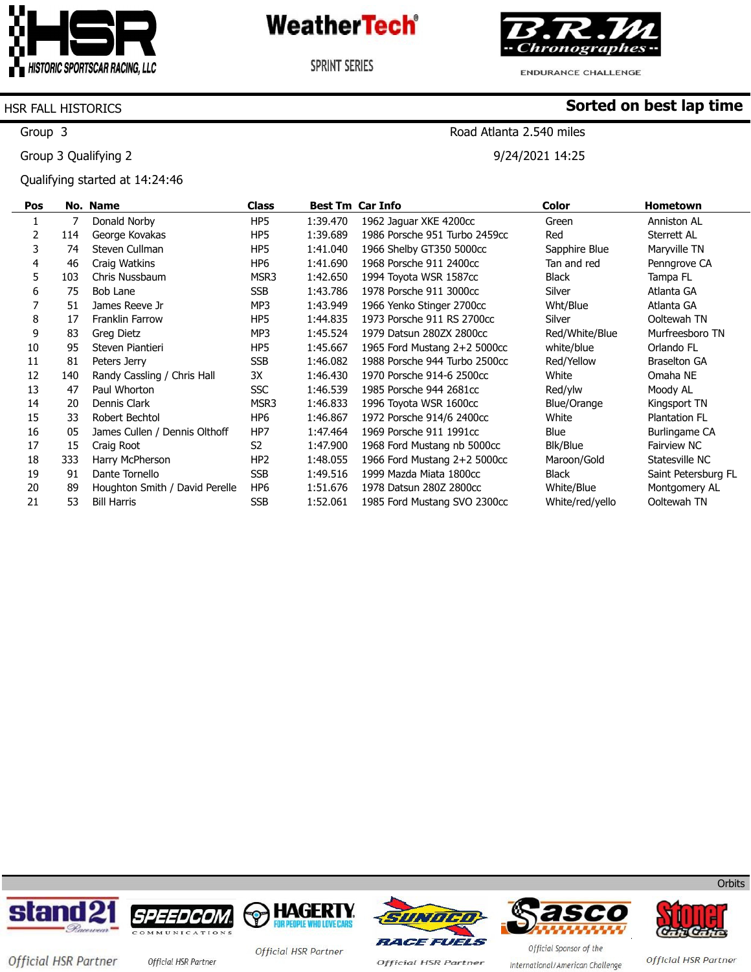

**SPRINT SERIES** 



ENDURANCE CHALLENGE

Road Atlanta 2.540 miles

9/24/2021 14:25

**Sorted on best lap time**

#### HSR FALL HISTORICS

Group 3

Group 3 Qualifying 2

Qualifying started at 14:24:46

| Pos |     | No. Name                       | <b>Class</b>    |          | <b>Best Tm Car Info</b>       | <b>Color</b>    | <b>Hometown</b>      |
|-----|-----|--------------------------------|-----------------|----------|-------------------------------|-----------------|----------------------|
|     |     | Donald Norby                   | HP5             | 1:39.470 | 1962 Jaquar XKE 4200cc        | Green           | Anniston AL          |
| 2   | 114 | George Kovakas                 | HP <sub>5</sub> | 1:39.689 | 1986 Porsche 951 Turbo 2459cc | Red             | Sterrett AL          |
| 3   | 74  | Steven Cullman                 | HP <sub>5</sub> | 1:41.040 | 1966 Shelby GT350 5000cc      | Sapphire Blue   | Maryville TN         |
| 4   | 46  | Craig Watkins                  | HP <sub>6</sub> | 1:41.690 | 1968 Porsche 911 2400cc       | Tan and red     | Penngrove CA         |
| 5   | 103 | Chris Nussbaum                 | MSR3            | 1:42.650 | 1994 Toyota WSR 1587cc        | Black           | Tampa FL             |
| 6   | 75  | Bob Lane                       | <b>SSB</b>      | 1:43.786 | 1978 Porsche 911 3000cc       | Silver          | Atlanta GA           |
|     | 51  | James Reeve Jr                 | MP3             | 1:43.949 | 1966 Yenko Stinger 2700cc     | Wht/Blue        | Atlanta GA           |
| 8   | 17  | <b>Franklin Farrow</b>         | HP5             | 1:44.835 | 1973 Porsche 911 RS 2700cc    | Silver          | Ooltewah TN          |
| 9   | 83  | Greg Dietz                     | MP3             | 1:45.524 | 1979 Datsun 280ZX 2800cc      | Red/White/Blue  | Murfreesboro TN      |
| 10  | 95  | Steven Piantieri               | HP5             | 1:45.667 | 1965 Ford Mustang 2+2 5000cc  | white/blue      | Orlando FL           |
| 11  | 81  | Peters Jerry                   | <b>SSB</b>      | 1:46.082 | 1988 Porsche 944 Turbo 2500cc | Red/Yellow      | <b>Braselton GA</b>  |
| 12  | 140 | Randy Cassling / Chris Hall    | 3X              | 1:46.430 | 1970 Porsche 914-6 2500cc     | White           | Omaha NE             |
| 13  | 47  | Paul Whorton                   | <b>SSC</b>      | 1:46.539 | 1985 Porsche 944 2681cc       | Red/ylw         | Moody AL             |
| 14  | 20  | Dennis Clark                   | MSR3            | 1:46.833 | 1996 Toyota WSR 1600cc        | Blue/Orange     | Kingsport TN         |
| 15  | 33  | Robert Bechtol                 | HP <sub>6</sub> | 1:46.867 | 1972 Porsche 914/6 2400cc     | White           | <b>Plantation FL</b> |
| 16  | 05  | James Cullen / Dennis Olthoff  | HP7             | 1:47.464 | 1969 Porsche 911 1991cc       | Blue            | Burlingame CA        |
| 17  | 15  | Craig Root                     | S2              | 1:47.900 | 1968 Ford Mustang nb 5000cc   | Blk/Blue        | Fairview NC          |
| 18  | 333 | Harry McPherson                | HP <sub>2</sub> | 1:48.055 | 1966 Ford Mustang 2+2 5000cc  | Maroon/Gold     | Statesville NC       |
| 19  | 91  | Dante Tornello                 | <b>SSB</b>      | 1:49.516 | 1999 Mazda Miata 1800cc       | Black           | Saint Petersburg FL  |
| 20  | 89  | Houghton Smith / David Perelle | HP <sub>6</sub> | 1:51.676 | 1978 Datsun 280Z 2800cc       | White/Blue      | Montgomery AL        |
| 21  | 53  | <b>Bill Harris</b>             | <b>SSB</b>      | 1:52.061 | 1985 Ford Mustang SVO 2300cc  | White/red/yello | Ooltewah TN          |













Official HSR Partner official HSR Partner

Official HSR Partner

**Official HSR Partner** 

Official Sponsor of the International/American Challenge

Official HSR Partner

**Orbits**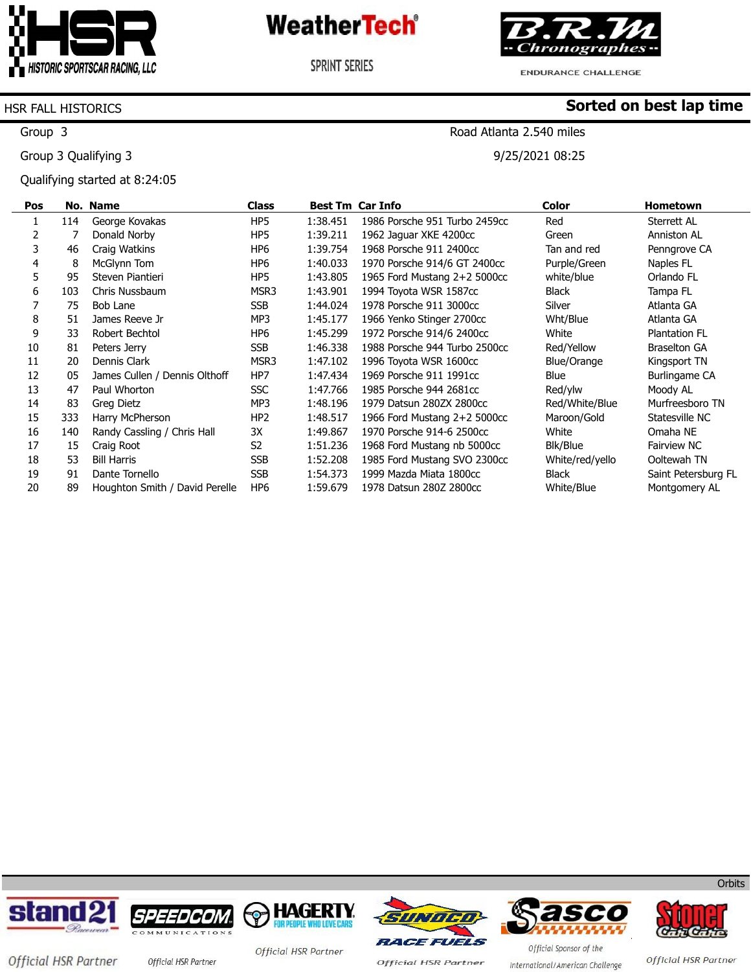

**SPRINT SERIES** 



ENDURANCE CHALLENGE

Road Atlanta 2.540 miles

9/25/2021 08:25

**Sorted on best lap time**

#### HSR FALL HISTORICS

Group 3

Group 3 Qualifying 3

Qualifying started at 8:24:05

| Pos |     | No. Name                       | <b>Class</b>    |          | <b>Best Tm Car Info</b>       | <b>Color</b>    | <b>Hometown</b>      |
|-----|-----|--------------------------------|-----------------|----------|-------------------------------|-----------------|----------------------|
|     | 114 | George Kovakas                 | HP5             | 1:38.451 | 1986 Porsche 951 Turbo 2459cc | Red             | Sterrett AL          |
|     |     | Donald Norby                   | HP5             | 1:39.211 | 1962 Jaguar XKE 4200cc        | Green           | Anniston AL          |
| 3   | 46  | Craig Watkins                  | HP6             | 1:39.754 | 1968 Porsche 911 2400cc       | Tan and red     | Penngrove CA         |
| 4   | 8   | McGlynn Tom                    | HP <sub>6</sub> | 1:40.033 | 1970 Porsche 914/6 GT 2400cc  | Purple/Green    | Naples FL            |
| 5   | 95  | Steven Piantieri               | HP5             | 1:43.805 | 1965 Ford Mustang 2+2 5000cc  | white/blue      | Orlando FL           |
| 6   | 103 | Chris Nussbaum                 | MSR3            | 1:43.901 | 1994 Toyota WSR 1587cc        | Black           | Tampa FL             |
|     | 75  | Bob Lane                       | <b>SSB</b>      | 1:44.024 | 1978 Porsche 911 3000cc       | Silver          | Atlanta GA           |
| 8   | 51  | James Reeve Jr                 | MP3             | 1:45.177 | 1966 Yenko Stinger 2700cc     | Wht/Blue        | Atlanta GA           |
| 9   | 33  | Robert Bechtol                 | HP <sub>6</sub> | 1:45.299 | 1972 Porsche 914/6 2400cc     | White           | <b>Plantation FL</b> |
| 10  | 81  | Peters Jerry                   | <b>SSB</b>      | 1:46.338 | 1988 Porsche 944 Turbo 2500cc | Red/Yellow      | <b>Braselton GA</b>  |
| 11  | 20  | Dennis Clark                   | MSR3            | 1:47.102 | 1996 Toyota WSR 1600cc        | Blue/Orange     | Kingsport TN         |
| 12  | 05  | James Cullen / Dennis Olthoff  | HP7             | 1:47.434 | 1969 Porsche 911 1991cc       | Blue            | Burlingame CA        |
| 13  | 47  | Paul Whorton                   | <b>SSC</b>      | 1:47.766 | 1985 Porsche 944 2681cc       | Red/ylw         | Moody AL             |
| 14  | 83  | Greg Dietz                     | MP3             | 1:48.196 | 1979 Datsun 280ZX 2800cc      | Red/White/Blue  | Murfreesboro TN      |
| 15  | 333 | Harry McPherson                | HP <sub>2</sub> | 1:48.517 | 1966 Ford Mustang 2+2 5000cc  | Maroon/Gold     | Statesville NC       |
| 16  | 140 | Randy Cassling / Chris Hall    | 3X              | 1:49.867 | 1970 Porsche 914-6 2500cc     | White           | Omaha NE             |
| 17  | 15  | Craig Root                     | S <sub>2</sub>  | 1:51.236 | 1968 Ford Mustang nb 5000cc   | Blk/Blue        | Fairview NC          |
| 18  | 53  | <b>Bill Harris</b>             | <b>SSB</b>      | 1:52.208 | 1985 Ford Mustang SVO 2300cc  | White/red/yello | Ooltewah TN          |
| 19  | 91  | Dante Tornello                 | <b>SSB</b>      | 1:54.373 | 1999 Mazda Miata 1800cc       | Black           | Saint Petersburg FL  |
| 20  | 89  | Houghton Smith / David Perelle | HP <sub>6</sub> | 1:59.679 | 1978 Datsun 280Z 2800cc       | White/Blue      | Montgomery AL        |













Official HSR Partner Official HSR Partner

Official HSR Partner

**Official HSR Partner** 

Official Sponsor of the International/American Challenge

**Orbits** 

Official HSR Partner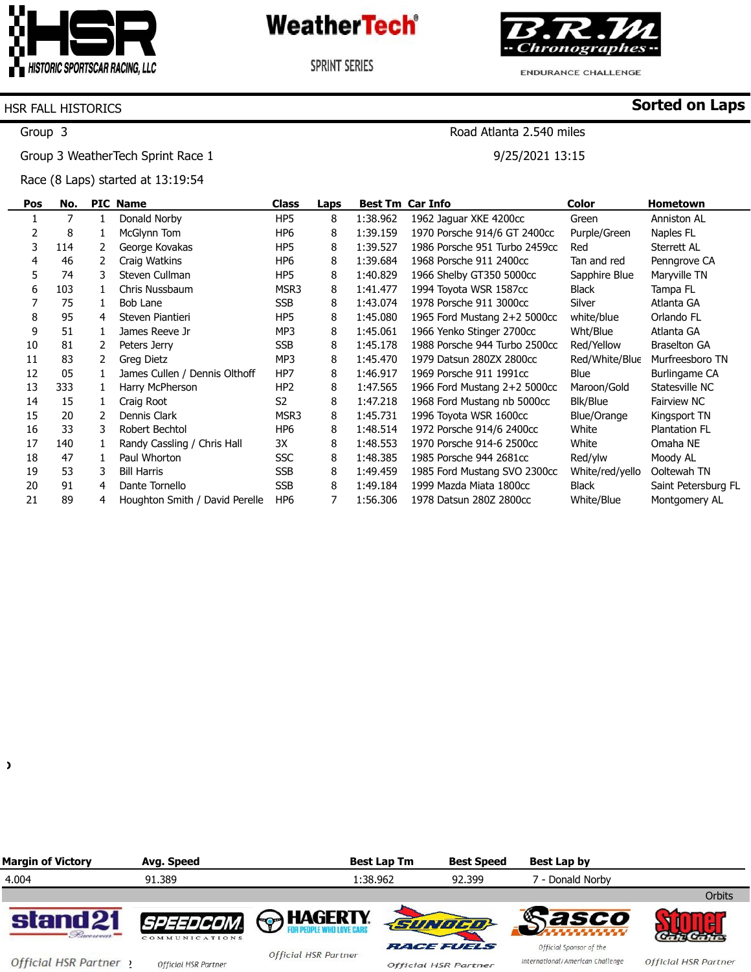

**SPRINT SERIES** 



**ENDURANCE CHALLENGE** 

Road Atlanta 2.540 miles

9/25/2021 13:15

**Sorted on Laps**

#### HSR FALL HISTORICS

Group 3

Group 3 WeatherTech Sprint Race 1

Race (8 Laps) started at 13:19:54

| Pos | No. |    | <b>PIC Name</b>                | Class           | Laps |          | <b>Best Tm Car Info</b>        | <b>Color</b>    | <b>Hometown</b>      |
|-----|-----|----|--------------------------------|-----------------|------|----------|--------------------------------|-----------------|----------------------|
|     |     |    | Donald Norby                   | HP <sub>5</sub> | 8    | 1:38.962 | 1962 Jaquar XKE 4200cc         | Green           | Anniston AL          |
| 2   | 8   | 1  | McGlynn Tom                    | HP <sub>6</sub> | 8    | 1:39.159 | 1970 Porsche 914/6 GT 2400cc   | Purple/Green    | Naples FL            |
| 3   | 114 | 2  | George Kovakas                 | HP <sub>5</sub> | 8    | 1:39.527 | 1986 Porsche 951 Turbo 2459cc  | Red             | Sterrett AL          |
| 4   | 46  |    | Craig Watkins                  | HP <sub>6</sub> | 8    | 1:39.684 | 1968 Porsche 911 2400cc        | Tan and red     | Penngrove CA         |
| 5   | 74  | 3. | Steven Cullman                 | HP <sub>5</sub> | 8    | 1:40.829 | 1966 Shelby GT350 5000cc       | Sapphire Blue   | Maryville TN         |
| 6   | 103 |    | Chris Nussbaum                 | MSR3            | 8    | 1:41.477 | 1994 Toyota WSR 1587cc         | Black           | Tampa FL             |
|     | 75  | 1. | Bob Lane                       | <b>SSB</b>      | 8    | 1:43.074 | 1978 Porsche 911 3000cc        | Silver          | Atlanta GA           |
| 8   | 95  | 4  | Steven Piantieri               | HP <sub>5</sub> | 8    | 1:45.080 | 1965 Ford Mustang $2+2$ 5000cc | white/blue      | Orlando FL           |
| 9   | 51  |    | James Reeve Jr                 | MP3             | 8    | 1:45.061 | 1966 Yenko Stinger 2700cc      | Wht/Blue        | Atlanta GA           |
| 10  | 81  | 2  | Peters Jerry                   | <b>SSB</b>      | 8    | 1:45.178 | 1988 Porsche 944 Turbo 2500cc  | Red/Yellow      | <b>Braselton GA</b>  |
| 11  | 83  | 2  | Greg Dietz                     | MP3             | 8    | 1:45.470 | 1979 Datsun 280ZX 2800cc       | Red/White/Blue  | Murfreesboro TN      |
| 12  | 05  |    | James Cullen / Dennis Olthoff  | HP7             | 8    | 1:46.917 | 1969 Porsche 911 1991cc        | Blue            | Burlingame CA        |
| 13  | 333 |    | Harry McPherson                | HP <sub>2</sub> | 8    | 1:47.565 | 1966 Ford Mustang 2+2 5000cc   | Maroon/Gold     | Statesville NC       |
| 14  | 15  | 1  | Craig Root                     | S <sub>2</sub>  | 8    | 1:47.218 | 1968 Ford Mustang nb 5000cc    | Blk/Blue        | Fairview NC          |
| 15  | 20  | 2  | Dennis Clark                   | MSR3            | 8    | 1:45.731 | 1996 Toyota WSR 1600cc         | Blue/Orange     | Kingsport TN         |
| 16  | 33  | 3. | Robert Bechtol                 | HP <sub>6</sub> | 8    | 1:48.514 | 1972 Porsche 914/6 2400cc      | White           | <b>Plantation FL</b> |
| 17  | 140 |    | Randy Cassling / Chris Hall    | 3X              | 8    | 1:48.553 | 1970 Porsche 914-6 2500cc      | White           | Omaha NE             |
| 18  | 47  |    | Paul Whorton                   | <b>SSC</b>      | 8    | 1:48.385 | 1985 Porsche 944 2681cc        | Red/ylw         | Moody AL             |
| 19  | 53  | 3  | <b>Bill Harris</b>             | <b>SSB</b>      | 8    | 1:49.459 | 1985 Ford Mustang SVO 2300cc   | White/red/yello | Ooltewah TN          |
| 20  | 91  | 4  | Dante Tornello                 | <b>SSB</b>      | 8    | 1:49.184 | 1999 Mazda Miata 1800cc        | Black           | Saint Petersburg FL  |
| 21  | 89  | 4  | Houghton Smith / David Perelle | HP <sub>6</sub> |      | 1:56.306 | 1978 Datsun 280Z 2800cc        | White/Blue      | Montgomery AL        |

 $\lambda$